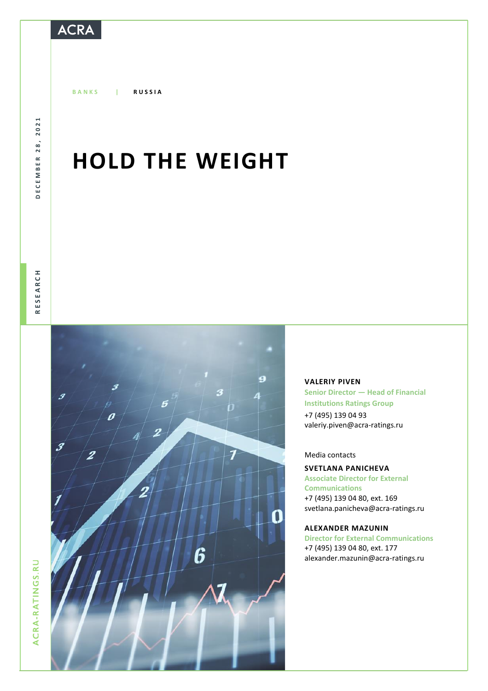## **ACRA**

**B A N K S | R U S S I A**

DECEMBER 28, 2021 DECEMBER 28, 2021

# **HOLD THE WEIGHT**



### **VALERIY PIVEN**

**Senior Director — Head of Financial Institutions Ratings Group** +7 (495) 139 04 93 [valeriy.piven@acra-ratings.ru](mailto:valeriy.piven@acra-ratings.ru)

### Media contacts

### **SVETLANA PANICHEVA Associate Director for External Communications**

+7 (495) 139 04 80, ext. 169 [svetlana.panicheva@acra-ratings.ru](mailto:svetlana.panicheva@acra-ratings.ru)

#### **ALEXANDER MAZUNIN**

**Director for External Communications** +7 (495) 139 04 80, ext. 177 [alexander.mazunin@acra-ratings.ru](mailto:alexander.mazunin@acra-ratings.ru)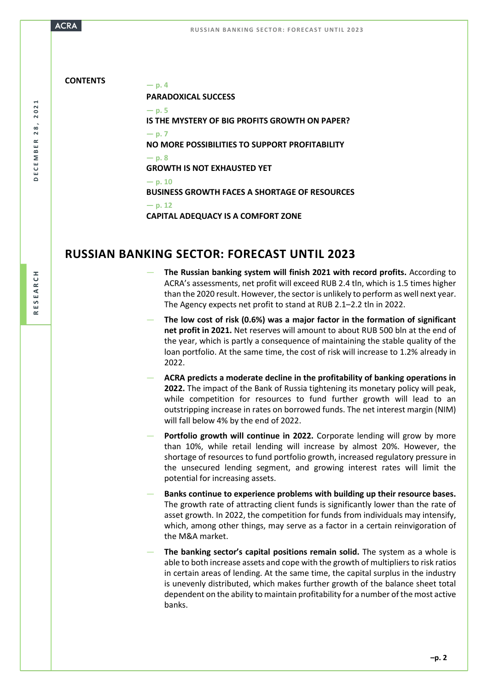2021 **DECEMBER 28, 2021**  $28,$ DECEMBER

**R E S E A R C H**

**CONTENTS — p. <sup>4</sup> PARADOXICAL SUCCESS — p. 5 IS THE MYSTERY OF BIG PROFITS GROWTH ON PAPER?**  $-$  **p. 7 NO MORE POSSIBILITIES TO SUPPORT PROFITABILITY — p. 8 GROWTH IS NOT EXHAUSTED YET — p. 10 BUSINESS GROWTH FACES A SHORTAGE OF RESOURCES — p. 12 CAPITAL ADEQUACY IS A COMFORT ZONE**

## **RUSSIAN BANKING SECTOR: FORECAST UNTIL 2023**

- **The Russian banking system will finish 2021 with record profits.** According to ACRA's assessments, net profit will exceed RUB 2.4 tln, which is 1.5 times higher than the 2020 result. However, the sector is unlikely to perform as well next year. The Agency expects net profit to stand at RUB 2.1–2.2 tln in 2022.
- **The low cost of risk (0.6%) was a major factor in the formation of significant net profit in 2021.** Net reserves will amount to about RUB 500 bln at the end of the year, which is partly a consequence of maintaining the stable quality of the loan portfolio. At the same time, the cost of risk will increase to 1.2% already in 2022.
- **ACRA predicts a moderate decline in the profitability of banking operations in 2022.** The impact of the Bank of Russia tightening its monetary policy will peak, while competition for resources to fund further growth will lead to an outstripping increase in rates on borrowed funds. The net interest margin (NIM) will fall below 4% by the end of 2022.
- **Portfolio growth will continue in 2022.** Corporate lending will grow by more than 10%, while retail lending will increase by almost 20%. However, the shortage of resources to fund portfolio growth, increased regulatory pressure in the unsecured lending segment, and growing interest rates will limit the potential for increasing assets.
- **Banks continue to experience problems with building up their resource bases.** The growth rate of attracting client funds is significantly lower than the rate of asset growth. In 2022, the competition for funds from individuals may intensify, which, among other things, may serve as a factor in a certain reinvigoration of the M&A market.
- The banking sector's capital positions remain solid. The system as a whole is able to both increase assets and cope with the growth of multipliers to risk ratios in certain areas of lending. At the same time, the capital surplus in the industry is unevenly distributed, which makes further growth of the balance sheet total dependent on the ability to maintain profitability for a number of the most active banks.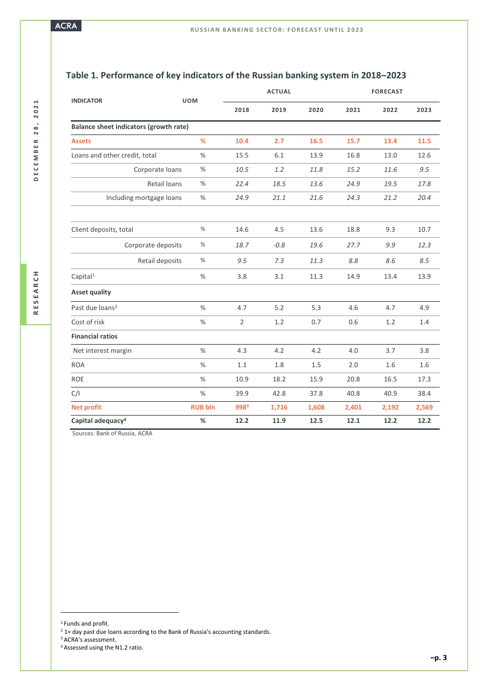| <b>INDICATOR</b>                       | <b>UOM</b>     | <b>ACTUAL</b>    |        |       | <b>FORECAST</b> |       |       |
|----------------------------------------|----------------|------------------|--------|-------|-----------------|-------|-------|
|                                        |                | 2018             | 2019   | 2020  | 2021            | 2022  | 2023  |
| Balance sheet indicators (growth rate) |                |                  |        |       |                 |       |       |
| <b>Assets</b>                          | %              | 10.4             | 2.7    | 16.5  | 15.7            | 13.4  | 11.5  |
| Loans and other credit, total          | %              | 15.5             | 6.1    | 13.9  | 16.8            | 13.0  | 12.6  |
| Corporate loans                        | $\%$           | 10.5             | 1.2    | 11.8  | 15.2            | 11.6  | 9.5   |
| Retail loans                           | %              | 22.4             | 18.5   | 13.6  | 24.9            | 19.5  | 17.8  |
| Including mortgage loans               | %              | 24.9             | 21.1   | 21.6  | 24.3            | 21.2  | 20.4  |
|                                        |                |                  |        |       |                 |       |       |
| Client deposits, total                 | $\%$           | 14.6             | 4.5    | 13.6  | 18.8            | 9.3   | 10.7  |
| Corporate deposits                     | %              | 18.7             | $-0.8$ | 19.6  | 27.7            | 9.9   | 12.3  |
| Retail deposits                        | %              | 9.5              | 7.3    | 11.3  | 8.8             | 8.6   | 8.5   |
| Capital <sup>1</sup>                   | %              | 3.8              | 3.1    | 11.3  | 14.9            | 13.4  | 13.9  |
| <b>Asset quality</b>                   |                |                  |        |       |                 |       |       |
| Past due loans <sup>2</sup>            | %              | 4.7              | 5.2    | 5.3   | 4.6             | 4.7   | 4.9   |
| Cost of risk                           | %              | $\overline{2}$   | 1.2    | 0.7   | 0.6             | 1.2   | 1.4   |
| <b>Financial ratios</b>                |                |                  |        |       |                 |       |       |
| Net interest margin                    | $\%$           | 4.3              | 4.2    | 4.2   | 4.0             | 3.7   | 3.8   |
| <b>ROA</b>                             | %              | 1.1              | 1.8    | 1.5   | 2.0             | 1.6   | 1.6   |
| <b>ROE</b>                             | %              | 10.9             | 18.2   | 15.9  | 20.8            | 16.5  | 17.3  |
| C/I                                    | $\%$           | 39.9             | 42.8   | 37.8  | 40.8            | 40.9  | 38.4  |
| <b>Net profit</b>                      | <b>RUB bln</b> | 998 <sup>3</sup> | 1,716  | 1,608 | 2,401           | 2,192 | 2,569 |
| Capital adequacy <sup>4</sup>          | %              | 12.2             | 11.9   | 12.5  | 12.1            | 12.2  | 12.2  |

## **Table 1. Performance of key indicators of the Russian banking system in 2018–2023**

Sources: Bank of Russia, ACRA

<sup>1</sup> Funds and profit.

 $\overline{a}$ 

<sup>3</sup> ACRA's assessment.

 $2$  1+ day past due loans according to the Bank of Russia's accounting standards.

<sup>4</sup> Assessed using the N1.2 ratio.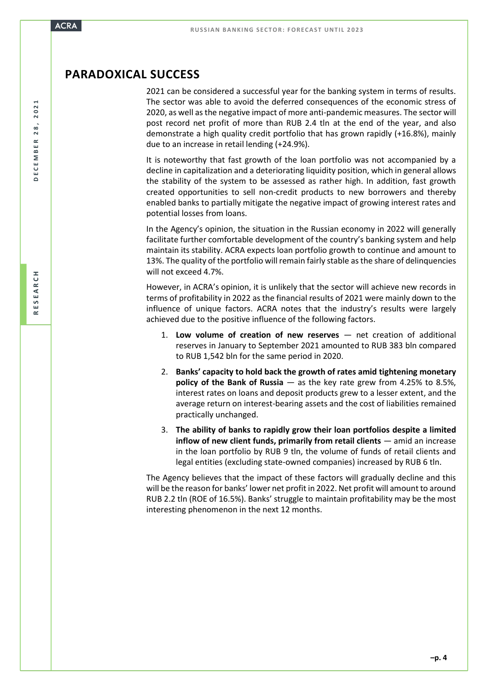## **PARADOXICAL SUCCESS**

2021 can be considered a successful year for the banking system in terms of results. The sector was able to avoid the deferred consequences of the economic stress of 2020, as well as the negative impact of more anti-pandemic measures. The sector will post record net profit of more than RUB 2.4 tln at the end of the year, and also demonstrate a high quality credit portfolio that has grown rapidly (+16.8%), mainly due to an increase in retail lending (+24.9%).

It is noteworthy that fast growth of the loan portfolio was not accompanied by a decline in capitalization and a deteriorating liquidity position, which in general allows the stability of the system to be assessed as rather high. In addition, fast growth created opportunities to sell non-credit products to new borrowers and thereby enabled banks to partially mitigate the negative impact of growing interest rates and potential losses from loans.

In the Agency's opinion, the situation in the Russian economy in 2022 will generally facilitate further comfortable development of the country's banking system and help maintain its stability. ACRA expects loan portfolio growth to continue and amount to 13%. The quality of the portfolio will remain fairly stable asthe share of delinquencies will not exceed 4.7%.

However, in ACRA's opinion, it is unlikely that the sector will achieve new records in terms of profitability in 2022 as the financial results of 2021 were mainly down to the influence of unique factors. ACRA notes that the industry's results were largely achieved due to the positive influence of the following factors.

- 1. **Low volume of creation of new reserves** net creation of additional reserves in January to September 2021 amounted to RUB 383 bln compared to RUB 1,542 bln for the same period in 2020.
- 2. **Banks' capacity to hold back the growth of rates amid tightening monetary policy of the Bank of Russia** — as the key rate grew from 4.25% to 8.5%, interest rates on loans and deposit products grew to a lesser extent, and the average return on interest-bearing assets and the cost of liabilities remained practically unchanged.
- 3. **The ability of banks to rapidly grow their loan portfolios despite a limited inflow of new client funds, primarily from retail clients** — amid an increase in the loan portfolio by RUB 9 tln, the volume of funds of retail clients and legal entities (excluding state-owned companies) increased by RUB 6 tln.

The Agency believes that the impact of these factors will gradually decline and this will be the reason for banks' lower net profit in 2022. Net profit will amount to around RUB 2.2 tln (ROE of 16.5%). Banks' struggle to maintain profitability may be the most interesting phenomenon in the next 12 months.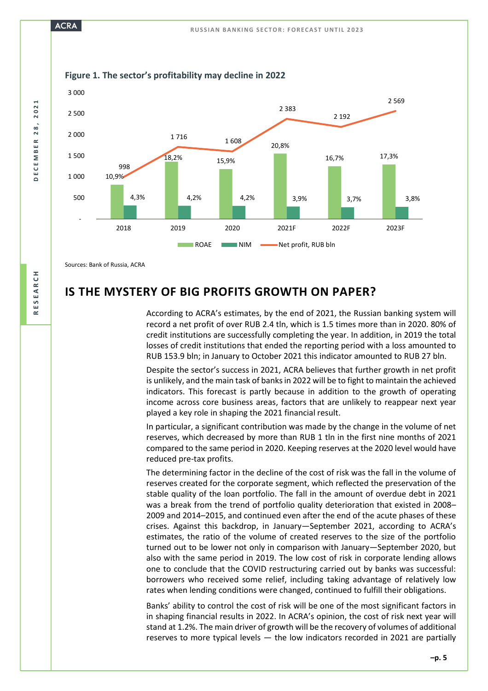

Sources: Bank of Russia, ACRA

## **IS THE MYSTERY OF BIG PROFITS GROWTH ON PAPER?**

According to ACRA's estimates, by the end of 2021, the Russian banking system will record a net profit of over RUB 2.4 tln, which is 1.5 times more than in 2020. 80% of credit institutions are successfully completing the year. In addition, in 2019 the total losses of credit institutions that ended the reporting period with a loss amounted to RUB 153.9 bln; in January to October 2021 this indicator amounted to RUB 27 bln.

Despite the sector's success in 2021, ACRA believes that further growth in net profit is unlikely, and the main task of banks in 2022 will be to fight to maintain the achieved indicators. This forecast is partly because in addition to the growth of operating income across core business areas, factors that are unlikely to reappear next year played a key role in shaping the 2021 financial result.

In particular, a significant contribution was made by the change in the volume of net reserves, which decreased by more than RUB 1 tln in the first nine months of 2021 compared to the same period in 2020. Keeping reserves at the 2020 level would have reduced pre-tax profits.

The determining factor in the decline of the cost of risk was the fall in the volume of reserves created for the corporate segment, which reflected the preservation of the stable quality of the loan portfolio. The fall in the amount of overdue debt in 2021 was a break from the trend of portfolio quality deterioration that existed in 2008– 2009 and 2014–2015, and continued even after the end of the acute phases of these crises. Against this backdrop, in January—September 2021, according to ACRA's estimates, the ratio of the volume of created reserves to the size of the portfolio turned out to be lower not only in comparison with January—September 2020, but also with the same period in 2019. The low cost of risk in corporate lending allows one to conclude that the COVID restructuring carried out by banks was successful: borrowers who received some relief, including taking advantage of relatively low rates when lending conditions were changed, continued to fulfill their obligations.

Banks' ability to control the cost of risk will be one of the most significant factors in in shaping financial results in 2022. In ACRA's opinion, the cost of risk next year will stand at 1.2%. The main driver of growth will be the recovery of volumes of additional reserves to more typical levels — the low indicators recorded in 2021 are partially

**DECEMBER 28, 2021** 

 $28$ 

DECEMBER

2021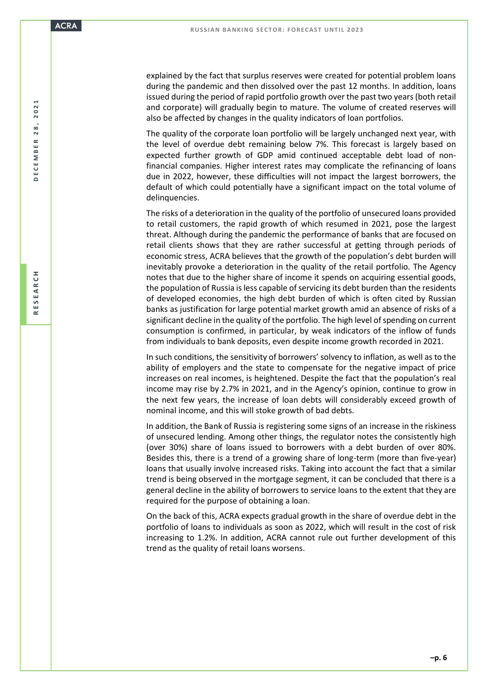explained by the fact that surplus reserves were created for potential problem loans during the pandemic and then dissolved over the past 12 months. In addition, loans issued during the period of rapid portfolio growth over the past two years (both retail and corporate) will gradually begin to mature. The volume of created reserves will also be affected by changes in the quality indicators of loan portfolios.

The quality of the corporate loan portfolio will be largely unchanged next year, with the level of overdue debt remaining below 7%. This forecast is largely based on expected further growth of GDP amid continued acceptable debt load of nonfinancial companies. Higher interest rates may complicate the refinancing of loans due in 2022, however, these difficulties will not impact the largest borrowers, the default of which could potentially have a significant impact on the total volume of delinquencies.

The risks of a deterioration in the quality of the portfolio of unsecured loans provided to retail customers, the rapid growth of which resumed in 2021, pose the largest threat. Although during the pandemic the performance of banks that are focused on retail clients shows that they are rather successful at getting through periods of economic stress, ACRA believes that the growth of the population's debt burden will inevitably provoke a deterioration in the quality of the retail portfolio. The Agency notes that due to the higher share of income it spends on acquiring essential goods, the population of Russia is less capable of servicing its debt burden than the residents of developed economies, the high debt burden of which is often cited by Russian banks as justification for large potential market growth amid an absence of risks of a significant decline in the quality of the portfolio. The high level of spending on current consumption is confirmed, in particular, by weak indicators of the inflow of funds from individuals to bank deposits, even despite income growth recorded in 2021.

In such conditions, the sensitivity of borrowers' solvency to inflation, as well as to the ability of employers and the state to compensate for the negative impact of price increases on real incomes, is heightened. Despite the fact that the population's real income may rise by 2.7% in 2021, and in the Agency's opinion, continue to grow in the next few years, the increase of loan debts will considerably exceed growth of nominal income, and this will stoke growth of bad debts.

In addition, the Bank of Russia is registering some signs of an increase in the riskiness of unsecured lending. Among other things, the regulator notes the consistently high (over 30%) share of loans issued to borrowers with a debt burden of over 80%. Besides this, there is a trend of a growing share of long-term (more than five-year) loans that usually involve increased risks. Taking into account the fact that a similar trend is being observed in the mortgage segment, it can be concluded that there is a general decline in the ability of borrowers to service loans to the extent that they are required for the purpose of obtaining a loan.

On the back of this, ACRA expects gradual growth in the share of overdue debt in the portfolio of loans to individuals as soon as 2022, which will result in the cost of risk increasing to 1.2%. In addition, ACRA cannot rule out further development of this trend as the quality of retail loans worsens.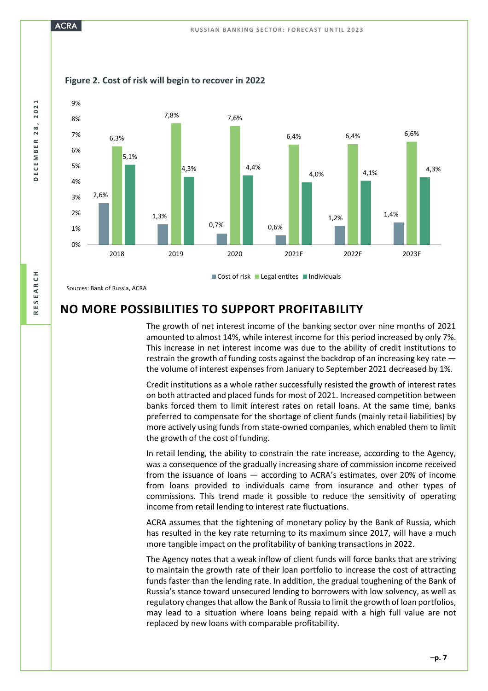## **ACRA**



**Figure 2. Cost of risk will begin to recover in 2022**

Sources: Bank of Russia, ACRA

## **NO MORE POSSIBILITIES TO SUPPORT PROFITABILITY**

The growth of net interest income of the banking sector over nine months of 2021 amounted to almost 14%, while interest income for this period increased by only 7%. This increase in net interest income was due to the ability of credit institutions to restrain the growth of funding costs against the backdrop of an increasing key rate the volume of interest expenses from January to September 2021 decreased by 1%.

Credit institutions as a whole rather successfully resisted the growth of interest rates on both attracted and placed funds for most of 2021. Increased competition between banks forced them to limit interest rates on retail loans. At the same time, banks preferred to compensate for the shortage of client funds (mainly retail liabilities) by more actively using funds from state-owned companies, which enabled them to limit the growth of the cost of funding.

In retail lending, the ability to constrain the rate increase, according to the Agency, was a consequence of the gradually increasing share of commission income received from the issuance of loans — according to ACRA's estimates, over 20% of income from loans provided to individuals came from insurance and other types of commissions. This trend made it possible to reduce the sensitivity of operating income from retail lending to interest rate fluctuations.

ACRA assumes that the tightening of monetary policy by the Bank of Russia, which has resulted in the key rate returning to its maximum since 2017, will have a much more tangible impact on the profitability of banking transactions in 2022.

The Agency notes that a weak inflow of client funds will force banks that are striving to maintain the growth rate of their loan portfolio to increase the cost of attracting funds faster than the lending rate. In addition, the gradual toughening of the Bank of Russia's stance toward unsecured lending to borrowers with low solvency, as well as regulatory changes that allow the Bank of Russia to limit the growth of loan portfolios, may lead to a situation where loans being repaid with a high full value are not replaced by new loans with comparable profitability.

2021 **DECEMBER 28, 2021**  $28$ DECEMBER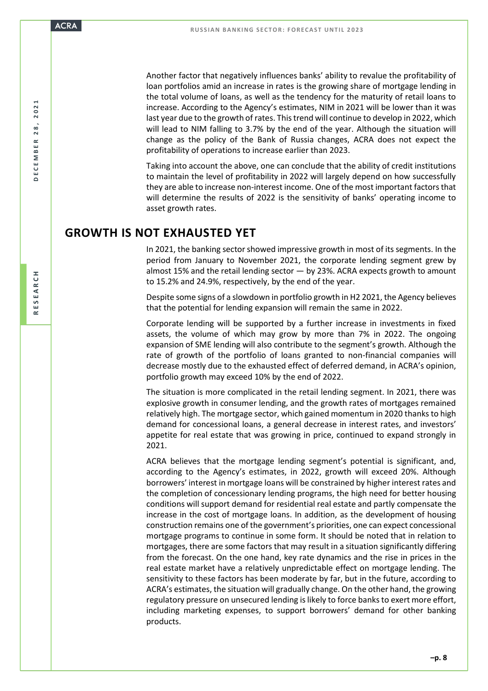Another factor that negatively influences banks' ability to revalue the profitability of loan portfolios amid an increase in rates is the growing share of mortgage lending in the total volume of loans, as well as the tendency for the maturity of retail loans to increase. According to the Agency's estimates, NIM in 2021 will be lower than it was last year due to the growth of rates. This trend will continue to develop in 2022, which will lead to NIM falling to 3.7% by the end of the year. Although the situation will change as the policy of the Bank of Russia changes, ACRA does not expect the profitability of operations to increase earlier than 2023.

Taking into account the above, one can conclude that the ability of credit institutions to maintain the level of profitability in 2022 will largely depend on how successfully they are able to increase non-interest income. One of the most important factors that will determine the results of 2022 is the sensitivity of banks' operating income to asset growth rates.

## **GROWTH IS NOT EXHAUSTED YET**

In 2021, the banking sector showed impressive growth in most of its segments. In the period from January to November 2021, the corporate lending segment grew by almost 15% and the retail lending sector  $-$  by 23%. ACRA expects growth to amount to 15.2% and 24.9%, respectively, by the end of the year.

Despite some signs of a slowdown in portfolio growth in H2 2021, the Agency believes that the potential for lending expansion will remain the same in 2022.

Corporate lending will be supported by a further increase in investments in fixed assets, the volume of which may grow by more than 7% in 2022. The ongoing expansion of SME lending will also contribute to the segment's growth. Although the rate of growth of the portfolio of loans granted to non-financial companies will decrease mostly due to the exhausted effect of deferred demand, in ACRA's opinion, portfolio growth may exceed 10% by the end of 2022.

The situation is more complicated in the retail lending segment. In 2021, there was explosive growth in consumer lending, and the growth rates of mortgages remained relatively high. The mortgage sector, which gained momentum in 2020 thanks to high demand for concessional loans, a general decrease in interest rates, and investors' appetite for real estate that was growing in price, continued to expand strongly in 2021.

ACRA believes that the mortgage lending segment's potential is significant, and, according to the Agency's estimates, in 2022, growth will exceed 20%. Although borrowers' interest in mortgage loans will be constrained by higher interest rates and the completion of concessionary lending programs, the high need for better housing conditions will support demand for residential real estate and partly compensate the increase in the cost of mortgage loans. In addition, as the development of housing construction remains one of the government's priorities, one can expect concessional mortgage programs to continue in some form. It should be noted that in relation to mortgages, there are some factors that may result in a situation significantly differing from the forecast. On the one hand, key rate dynamics and the rise in prices in the real estate market have a relatively unpredictable effect on mortgage lending. The sensitivity to these factors has been moderate by far, but in the future, according to ACRA's estimates, the situation will gradually change. On the other hand, the growing regulatory pressure on unsecured lending is likely to force banks to exert more effort, including marketing expenses, to support borrowers' demand for other banking products.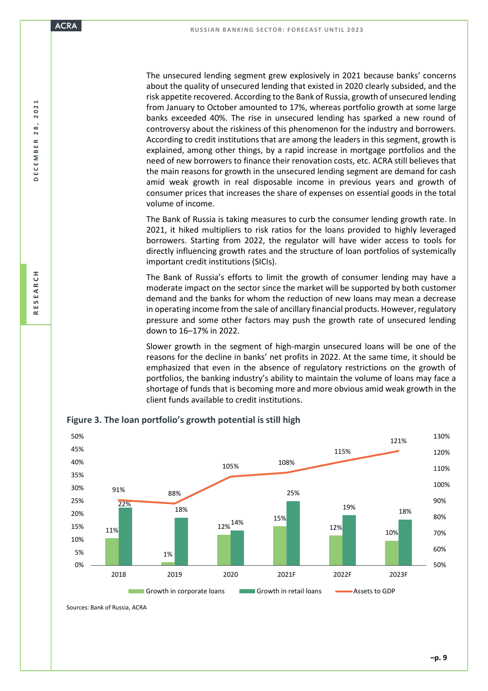The unsecured lending segment grew explosively in 2021 because banks' concerns about the quality of unsecured lending that existed in 2020 clearly subsided, and the risk appetite recovered. According to the Bank of Russia, growth of unsecured lending from January to October amounted to 17%, whereas portfolio growth at some large banks exceeded 40%. The rise in unsecured lending has sparked a new round of controversy about the riskiness of this phenomenon for the industry and borrowers. According to credit institutions that are among the leaders in this segment, growth is explained, among other things, by a rapid increase in mortgage portfolios and the need of new borrowers to finance their renovation costs, etc. ACRA still believes that the main reasons for growth in the unsecured lending segment are demand for cash amid weak growth in real disposable income in previous years and growth of consumer prices that increases the share of expenses on essential goods in the total volume of income.

The Bank of Russia is taking measures to curb the consumer lending growth rate. In 2021, it hiked multipliers to risk ratios for the loans provided to highly leveraged borrowers. Starting from 2022, the regulator will have wider access to tools for directly influencing growth rates and the structure of loan portfolios of systemically important credit institutions (SICIs).

The Bank of Russia's efforts to limit the growth of consumer lending may have a moderate impact on the sector since the market will be supported by both customer demand and the banks for whom the reduction of new loans may mean a decrease in operating income from the sale of ancillary financial products. However, regulatory pressure and some other factors may push the growth rate of unsecured lending down to 16–17% in 2022.

Slower growth in the segment of high-margin unsecured loans will be one of the reasons for the decline in banks' net profits in 2022. At the same time, it should be emphasized that even in the absence of regulatory restrictions on the growth of portfolios, the banking industry's ability to maintain the volume of loans may face a shortage of funds that is becoming more and more obvious amid weak growth in the client funds available to credit institutions.



**Figure 3. The loan portfolio's growth potential is still high**

Sources: Bank of Russia, ACRA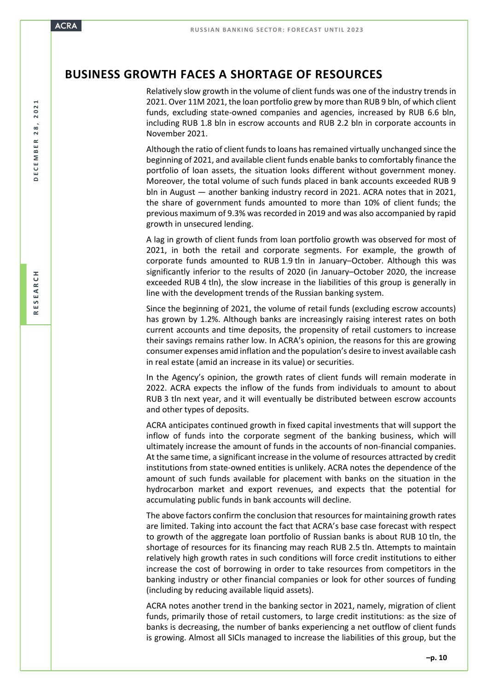## **BUSINESS GROWTH FACES A SHORTAGE OF RESOURCES**

Relatively slow growth in the volume of client funds was one of the industry trends in 2021. Over 11M 2021, the loan portfolio grew by more than RUB 9 bln, of which client funds, excluding state-owned companies and agencies, increased by RUB 6.6 bln, including RUB 1.8 bln in escrow accounts and RUB 2.2 bln in corporate accounts in November 2021.

Although the ratio of client funds to loans has remained virtually unchanged since the beginning of 2021, and available client funds enable banks to comfortably finance the portfolio of loan assets, the situation looks different without government money. Moreover, the total volume of such funds placed in bank accounts exceeded RUB 9 bln in August — another banking industry record in 2021. ACRA notes that in 2021, the share of government funds amounted to more than 10% of client funds; the previous maximum of 9.3% was recorded in 2019 and was also accompanied by rapid growth in unsecured lending.

A lag in growth of client funds from loan portfolio growth was observed for most of 2021, in both the retail and corporate segments. For example, the growth of corporate funds amounted to RUB 1.9 tln in January–October. Although this was significantly inferior to the results of 2020 (in January–October 2020, the increase exceeded RUB 4 tln), the slow increase in the liabilities of this group is generally in line with the development trends of the Russian banking system.

Since the beginning of 2021, the volume of retail funds (excluding escrow accounts) has grown by 1.2%. Although banks are increasingly raising interest rates on both current accounts and time deposits, the propensity of retail customers to increase their savings remains rather low. In ACRA's opinion, the reasons for this are growing consumer expenses amid inflation and the population's desire to invest available cash in real estate (amid an increase in its value) or securities.

In the Agency's opinion, the growth rates of client funds will remain moderate in 2022. ACRA expects the inflow of the funds from individuals to amount to about RUB 3 tln next year, and it will eventually be distributed between escrow accounts and other types of deposits.

ACRA anticipates continued growth in fixed capital investments that will support the inflow of funds into the corporate segment of the banking business, which will ultimately increase the amount of funds in the accounts of non-financial companies. At the same time, a significant increase in the volume of resources attracted by credit institutions from state-owned entities is unlikely. ACRA notes the dependence of the amount of such funds available for placement with banks on the situation in the hydrocarbon market and export revenues, and expects that the potential for accumulating public funds in bank accounts will decline.

The above factors confirm the conclusion that resources for maintaining growth rates are limited. Taking into account the fact that ACRA's base case forecast with respect to growth of the aggregate loan portfolio of Russian banks is about RUB 10 tln, the shortage of resources for its financing may reach RUB 2.5 tln. Attempts to maintain relatively high growth rates in such conditions will force credit institutions to either increase the cost of borrowing in order to take resources from competitors in the banking industry or other financial companies or look for other sources of funding (including by reducing available liquid assets).

ACRA notes another trend in the banking sector in 2021, namely, migration of client funds, primarily those of retail customers, to large credit institutions: as the size of banks is decreasing, the number of banks experiencing a net outflow of client funds is growing. Almost all SICIs managed to increase the liabilities of this group, but the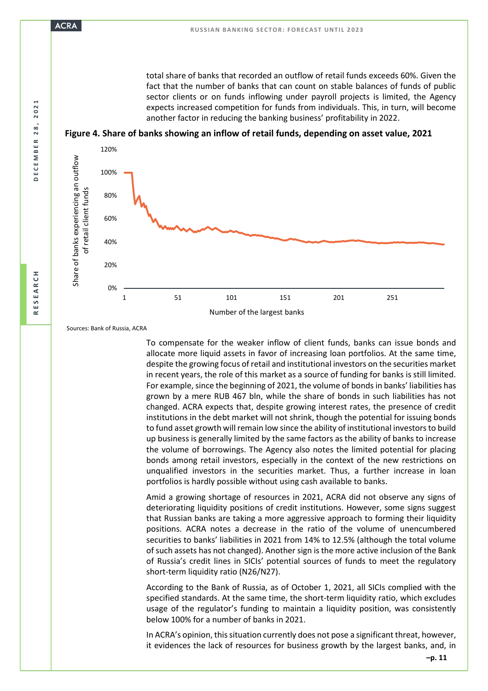total share of banks that recorded an outflow of retail funds exceeds 60%. Given the fact that the number of banks that can count on stable balances of funds of public sector clients or on funds inflowing under payroll projects is limited, the Agency expects increased competition for funds from individuals. This, in turn, will become another factor in reducing the banking business' profitability in 2022.





Sources: Bank of Russia, ACRA

To compensate for the weaker inflow of client funds, banks can issue bonds and allocate more liquid assets in favor of increasing loan portfolios. At the same time, despite the growing focus of retail and institutional investors on the securities market in recent years, the role of this market as a source of funding for banks is still limited. For example, since the beginning of 2021, the volume of bonds in banks' liabilities has grown by a mere RUB 467 bln, while the share of bonds in such liabilities has not changed. ACRA expects that, despite growing interest rates, the presence of credit institutions in the debt market will not shrink, though the potential for issuing bonds to fund asset growth will remain low since the ability of institutional investors to build up business is generally limited by the same factors as the ability of banks to increase the volume of borrowings. The Agency also notes the limited potential for placing bonds among retail investors, especially in the context of the new restrictions on unqualified investors in the securities market. Thus, a further increase in loan portfolios is hardly possible without using cash available to banks.

Amid a growing shortage of resources in 2021, ACRA did not observe any signs of deteriorating liquidity positions of credit institutions. However, some signs suggest that Russian banks are taking a more aggressive approach to forming their liquidity positions. ACRA notes a decrease in the ratio of the volume of unencumbered securities to banks' liabilities in 2021 from 14% to 12.5% (although the total volume of such assets has not changed). Another sign is the more active inclusion of the Bank of Russia's credit lines in SICIs' potential sources of funds to meet the regulatory short-term liquidity ratio (N26/N27).

According to the Bank of Russia, as of October 1, 2021, all SICIs complied with the specified standards. At the same time, the short-term liquidity ratio, which excludes usage of the regulator's funding to maintain a liquidity position, was consistently below 100% for a number of banks in 2021.

In ACRA's opinion, this situation currently does not pose a significant threat, however, it evidences the lack of resources for business growth by the largest banks, and, in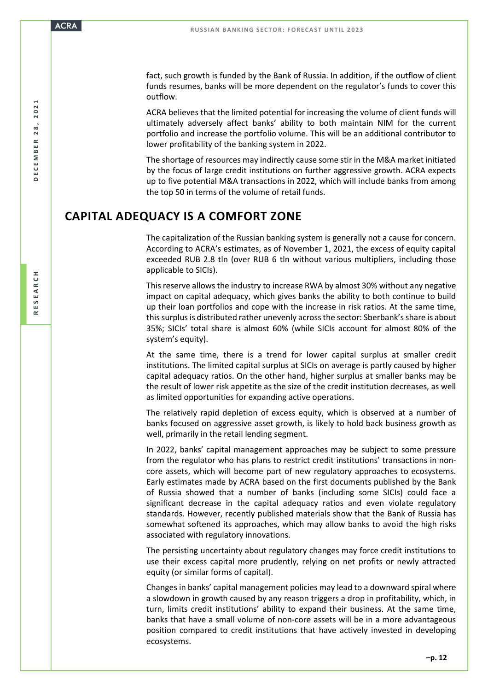fact, such growth is funded by the Bank of Russia. In addition, if the outflow of client funds resumes, banks will be more dependent on the regulator's funds to cover this outflow.

ACRA believes that the limited potential for increasing the volume of client funds will ultimately adversely affect banks' ability to both maintain NIM for the current portfolio and increase the portfolio volume. This will be an additional contributor to lower profitability of the banking system in 2022.

The shortage of resources may indirectly cause some stir in the M&A market initiated by the focus of large credit institutions on further aggressive growth. ACRA expects up to five potential M&A transactions in 2022, which will include banks from among the top 50 in terms of the volume of retail funds.

## **CAPITAL ADEQUACY IS A COMFORT ZONE**

The capitalization of the Russian banking system is generally not a cause for concern. According to ACRA's estimates, as of November 1, 2021, the excess of equity capital exceeded RUB 2.8 tln (over RUB 6 tln without various multipliers, including those applicable to SICIs).

This reserve allows the industry to increase RWA by almost 30% without any negative impact on capital adequacy, which gives banks the ability to both continue to build up their loan portfolios and cope with the increase in risk ratios. At the same time, this surplus is distributed rather unevenly across the sector: Sberbank's share is about 35%; SICIs' total share is almost 60% (while SICIs account for almost 80% of the system's equity).

At the same time, there is a trend for lower capital surplus at smaller credit institutions. The limited capital surplus at SICIs on average is partly caused by higher capital adequacy ratios. On the other hand, higher surplus at smaller banks may be the result of lower risk appetite as the size of the credit institution decreases, as well as limited opportunities for expanding active operations.

The relatively rapid depletion of excess equity, which is observed at a number of banks focused on aggressive asset growth, is likely to hold back business growth as well, primarily in the retail lending segment.

In 2022, banks' capital management approaches may be subject to some pressure from the regulator who has plans to restrict credit institutions' transactions in noncore assets, which will become part of new regulatory approaches to ecosystems. Early estimates made by ACRA based on the first documents published by the Bank of Russia showed that a number of banks (including some SICIs) could face a significant decrease in the capital adequacy ratios and even violate regulatory standards. However, recently published materials show that the Bank of Russia has somewhat softened its approaches, which may allow banks to avoid the high risks associated with regulatory innovations.

The persisting uncertainty about regulatory changes may force credit institutions to use their excess capital more prudently, relying on net profits or newly attracted equity (or similar forms of capital).

Changes in banks' capital management policies may lead to a downward spiral where a slowdown in growth caused by any reason triggers a drop in profitability, which, in turn, limits credit institutions' ability to expand their business. At the same time, banks that have a small volume of non-core assets will be in a more advantageous position compared to credit institutions that have actively invested in developing ecosystems.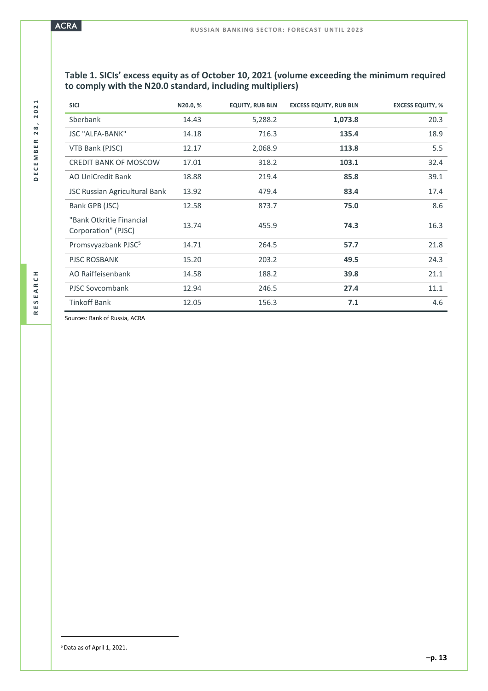## **Table 1. SICIs' excess equity as of October 10, 2021 (volume exceeding the minimum required to comply with the N20.0 standard, including multipliers)**

| <b>SICI</b>                                     | N20.0,% | <b>EQUITY, RUB BLN</b> | <b>EXCESS EQUITY, RUB BLN</b> | <b>EXCESS EQUITY, %</b> |
|-------------------------------------------------|---------|------------------------|-------------------------------|-------------------------|
| Sberbank                                        | 14.43   | 5,288.2                | 1,073.8                       | 20.3                    |
| <b>JSC "ALFA-BANK"</b>                          | 14.18   | 716.3                  | 135.4                         | 18.9                    |
| VTB Bank (PJSC)                                 | 12.17   | 2,068.9                | 113.8                         | 5.5                     |
| <b>CREDIT BANK OF MOSCOW</b>                    | 17.01   | 318.2                  | 103.1                         | 32.4                    |
| AO UniCredit Bank                               | 18.88   | 219.4                  | 85.8                          | 39.1                    |
| <b>JSC Russian Agricultural Bank</b>            | 13.92   | 479.4                  | 83.4                          | 17.4                    |
| Bank GPB (JSC)                                  | 12.58   | 873.7                  | 75.0                          | 8.6                     |
| "Bank Otkritie Financial<br>Corporation" (PJSC) | 13.74   | 455.9                  | 74.3                          | 16.3                    |
| Promsvyazbank PJSC <sup>5</sup>                 | 14.71   | 264.5                  | 57.7                          | 21.8                    |
| PJSC ROSBANK                                    | 15.20   | 203.2                  | 49.5                          | 24.3                    |
| AO Raiffeisenbank                               | 14.58   | 188.2                  | 39.8                          | 21.1                    |
| PJSC Sovcombank                                 | 12.94   | 246.5                  | 27.4                          | 11.1                    |
| <b>Tinkoff Bank</b>                             | 12.05   | 156.3                  | 7.1                           | 4.6                     |

Sources: Bank of Russia, ACRA

<sup>5</sup> Data as of April 1, 2021.

 $\overline{a}$